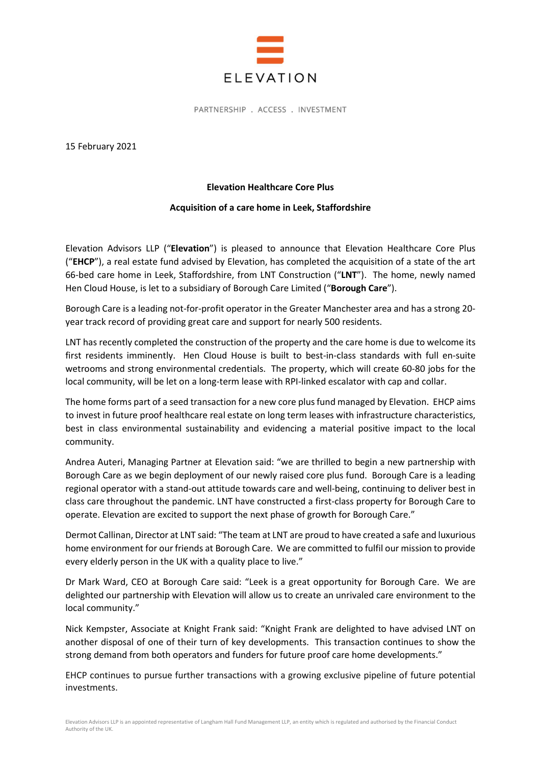

PARTNERSHIP . ACCESS . INVESTMENT

15 February 2021

## Elevation Healthcare Core Plus

## Acquisition of a care home in Leek, Staffordshire

Elevation Advisors LLP ("Elevation") is pleased to announce that Elevation Healthcare Core Plus ("EHCP"), a real estate fund advised by Elevation, has completed the acquisition of a state of the art 66-bed care home in Leek, Staffordshire, from LNT Construction ("LNT"). The home, newly named Hen Cloud House, is let to a subsidiary of Borough Care Limited ("Borough Care").

Borough Care is a leading not-for-profit operator in the Greater Manchester area and has a strong 20 year track record of providing great care and support for nearly 500 residents.

LNT has recently completed the construction of the property and the care home is due to welcome its first residents imminently. Hen Cloud House is built to best-in-class standards with full en-suite wetrooms and strong environmental credentials. The property, which will create 60-80 jobs for the local community, will be let on a long-term lease with RPI-linked escalator with cap and collar.

The home forms part of a seed transaction for a new core plus fund managed by Elevation. EHCP aims to invest in future proof healthcare real estate on long term leases with infrastructure characteristics, best in class environmental sustainability and evidencing a material positive impact to the local community.

Andrea Auteri, Managing Partner at Elevation said: "we are thrilled to begin a new partnership with Borough Care as we begin deployment of our newly raised core plus fund. Borough Care is a leading regional operator with a stand-out attitude towards care and well-being, continuing to deliver best in class care throughout the pandemic. LNT have constructed a first-class property for Borough Care to operate. Elevation are excited to support the next phase of growth for Borough Care."

Dermot Callinan, Director at LNT said: "The team at LNT are proud to have created a safe and luxurious home environment for our friends at Borough Care. We are committed to fulfil our mission to provide every elderly person in the UK with a quality place to live."

Dr Mark Ward, CEO at Borough Care said: "Leek is a great opportunity for Borough Care. We are delighted our partnership with Elevation will allow us to create an unrivaled care environment to the local community."

Nick Kempster, Associate at Knight Frank said: "Knight Frank are delighted to have advised LNT on another disposal of one of their turn of key developments. This transaction continues to show the strong demand from both operators and funders for future proof care home developments."

EHCP continues to pursue further transactions with a growing exclusive pipeline of future potential investments.